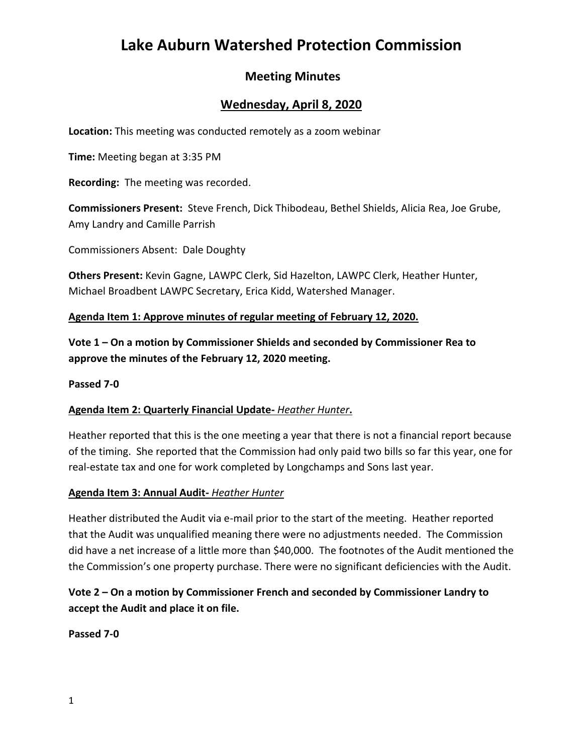# **Lake Auburn Watershed Protection Commission**

# **Meeting Minutes**

# **Wednesday, April 8, 2020**

**Location:** This meeting was conducted remotely as a zoom webinar

**Time:** Meeting began at 3:35 PM

**Recording:** The meeting was recorded.

**Commissioners Present:** Steve French, Dick Thibodeau, Bethel Shields, Alicia Rea, Joe Grube, Amy Landry and Camille Parrish

Commissioners Absent: Dale Doughty

**Others Present:** Kevin Gagne, LAWPC Clerk, Sid Hazelton, LAWPC Clerk, Heather Hunter, Michael Broadbent LAWPC Secretary, Erica Kidd, Watershed Manager.

#### **Agenda Item 1: Approve minutes of regular meeting of February 12, 2020.**

**Vote 1 – On a motion by Commissioner Shields and seconded by Commissioner Rea to approve the minutes of the February 12, 2020 meeting.**

#### **Passed 7-0**

### **Agenda Item 2: Quarterly Financial Update-** *Heather Hunter***.**

Heather reported that this is the one meeting a year that there is not a financial report because of the timing. She reported that the Commission had only paid two bills so far this year, one for real-estate tax and one for work completed by Longchamps and Sons last year.

#### **Agenda Item 3: Annual Audit-** *Heather Hunter*

Heather distributed the Audit via e-mail prior to the start of the meeting. Heather reported that the Audit was unqualified meaning there were no adjustments needed. The Commission did have a net increase of a little more than \$40,000. The footnotes of the Audit mentioned the the Commission's one property purchase. There were no significant deficiencies with the Audit.

## **Vote 2 – On a motion by Commissioner French and seconded by Commissioner Landry to accept the Audit and place it on file.**

**Passed 7-0**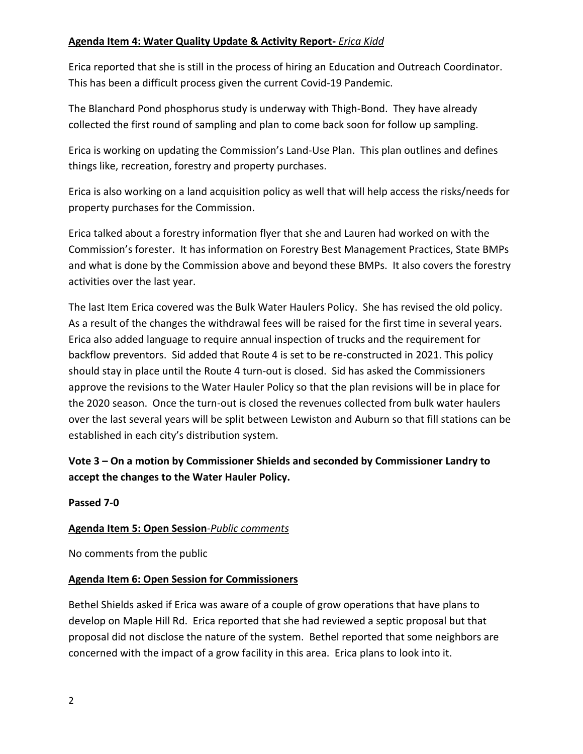### **Agenda Item 4: Water Quality Update & Activity Report-** *Erica Kidd*

Erica reported that she is still in the process of hiring an Education and Outreach Coordinator. This has been a difficult process given the current Covid-19 Pandemic.

The Blanchard Pond phosphorus study is underway with Thigh-Bond. They have already collected the first round of sampling and plan to come back soon for follow up sampling.

Erica is working on updating the Commission's Land-Use Plan. This plan outlines and defines things like, recreation, forestry and property purchases.

Erica is also working on a land acquisition policy as well that will help access the risks/needs for property purchases for the Commission.

Erica talked about a forestry information flyer that she and Lauren had worked on with the Commission's forester. It has information on Forestry Best Management Practices, State BMPs and what is done by the Commission above and beyond these BMPs. It also covers the forestry activities over the last year.

The last Item Erica covered was the Bulk Water Haulers Policy. She has revised the old policy. As a result of the changes the withdrawal fees will be raised for the first time in several years. Erica also added language to require annual inspection of trucks and the requirement for backflow preventors. Sid added that Route 4 is set to be re-constructed in 2021. This policy should stay in place until the Route 4 turn-out is closed. Sid has asked the Commissioners approve the revisions to the Water Hauler Policy so that the plan revisions will be in place for the 2020 season. Once the turn-out is closed the revenues collected from bulk water haulers over the last several years will be split between Lewiston and Auburn so that fill stations can be established in each city's distribution system.

## **Vote 3 – On a motion by Commissioner Shields and seconded by Commissioner Landry to accept the changes to the Water Hauler Policy.**

**Passed 7-0** 

### **Agenda Item 5: Open Session***-Public comments*

No comments from the public

### **Agenda Item 6: Open Session for Commissioners**

Bethel Shields asked if Erica was aware of a couple of grow operations that have plans to develop on Maple Hill Rd. Erica reported that she had reviewed a septic proposal but that proposal did not disclose the nature of the system. Bethel reported that some neighbors are concerned with the impact of a grow facility in this area. Erica plans to look into it.